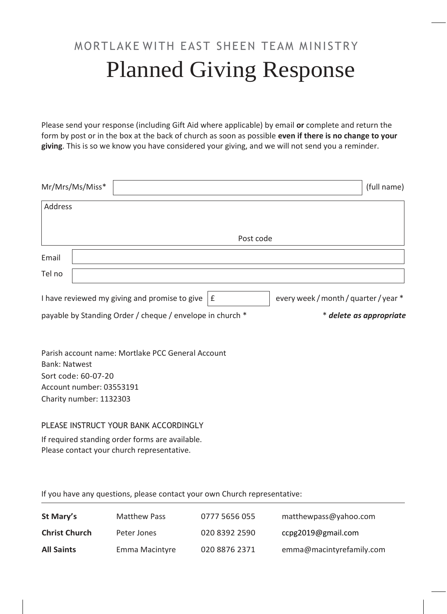## MORTLAKE WITH EAST SHEEN TEAM MINISTRY Planned Giving Response

Please send your response (including Gift Aid where applicable) by email **or** complete and return the form by post or in the box at the back of church as soon as possible **even if there is no change to your giving**. This is so we know you have considered your giving, and we will not send you a reminder.

|                      | Mr/Mrs/Ms/Miss*                                                            |                                                           |           |                                       | (full name)             |
|----------------------|----------------------------------------------------------------------------|-----------------------------------------------------------|-----------|---------------------------------------|-------------------------|
| Address              |                                                                            |                                                           |           |                                       |                         |
|                      |                                                                            |                                                           | Post code |                                       |                         |
| Email                |                                                                            |                                                           |           |                                       |                         |
| Tel no               |                                                                            |                                                           |           |                                       |                         |
|                      |                                                                            | I have reviewed my giving and promise to give             | £         | every week / month / quarter / year * |                         |
|                      |                                                                            | payable by Standing Order / cheque / envelope in church * |           |                                       | * delete as appropriate |
| <b>Bank: Natwest</b> | Sort code: 60-07-20<br>Account number: 03553191<br>Charity number: 1132303 | Parish account name: Mortlake PCC General Account         |           |                                       |                         |
|                      |                                                                            |                                                           |           |                                       |                         |

## PLEASE INSTRUCT YOUR BANK ACCORDINGLY

If required standing order forms are available. Please contact your church representative.

If you have any questions, please contact your own Church representative:

| St Mary's            | <b>Matthew Pass</b> | 0777 5656 055 | matthewpass@yahoo.com    |
|----------------------|---------------------|---------------|--------------------------|
| <b>Christ Church</b> | Peter Jones         | 020 8392 2590 | ccpg2019@gmail.com       |
| <b>All Saints</b>    | Emma Macintyre      | 020 8876 2371 | emma@macintyrefamily.com |